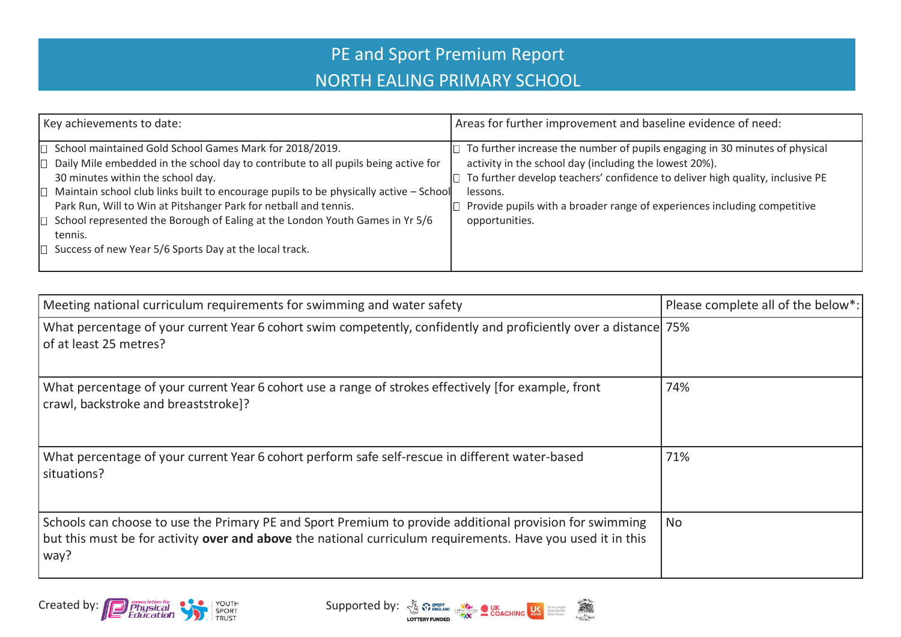## PE and Sport Premium Report NORTH EALING PRIMARY SCHOOL

| Key achievements to date:                                                                                                                                                                                                                                                                                                                                                                                                                                                                            | Areas for further improvement and baseline evidence of need:                                                                                                                                                                                                                                                                            |
|------------------------------------------------------------------------------------------------------------------------------------------------------------------------------------------------------------------------------------------------------------------------------------------------------------------------------------------------------------------------------------------------------------------------------------------------------------------------------------------------------|-----------------------------------------------------------------------------------------------------------------------------------------------------------------------------------------------------------------------------------------------------------------------------------------------------------------------------------------|
| School maintained Gold School Games Mark for 2018/2019.<br>Daily Mile embedded in the school day to contribute to all pupils being active for<br>30 minutes within the school day.<br>Maintain school club links built to encourage pupils to be physically active - School<br>Park Run, Will to Win at Pitshanger Park for netball and tennis.<br>School represented the Borough of Ealing at the London Youth Games in Yr 5/6<br>tennis.<br>Success of new Year 5/6 Sports Day at the local track. | $\Box$ To further increase the number of pupils engaging in 30 minutes of physical<br>activity in the school day (including the lowest 20%).<br>To further develop teachers' confidence to deliver high quality, inclusive PE<br>lessons.<br>Provide pupils with a broader range of experiences including competitive<br>opportunities. |

| Meeting national curriculum requirements for swimming and water safety                                                                                                                                                         | Please complete all of the below*: |
|--------------------------------------------------------------------------------------------------------------------------------------------------------------------------------------------------------------------------------|------------------------------------|
| What percentage of your current Year 6 cohort swim competently, confidently and proficiently over a distance 75%<br>of at least 25 metres?                                                                                     |                                    |
| What percentage of your current Year 6 cohort use a range of strokes effectively [for example, front<br>crawl, backstroke and breaststroke]?                                                                                   | 74%                                |
| What percentage of your current Year 6 cohort perform safe self-rescue in different water-based<br>situations?                                                                                                                 | 71%                                |
| Schools can choose to use the Primary PE and Sport Premium to provide additional provision for swimming<br>but this must be for activity over and above the national curriculum requirements. Have you used it in this<br>way? | <b>No</b>                          |



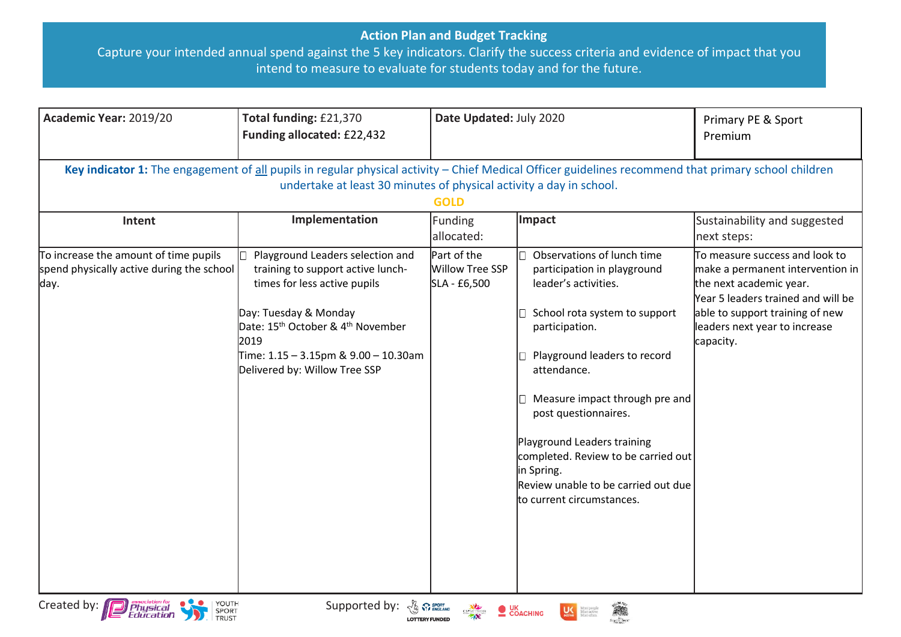## **Action Plan and Budget Tracking**

Capture your intended annual spend against the 5 key indicators. Clarify the success criteria and evidence of impact that you intend to measure to evaluate for students today and for the future.

| Academic Year: 2019/20                                                                                                                                                                                                                     | Total funding: £21,370<br>Funding allocated: £22,432                                                                                                                                                                                                                         | Date Updated: July 2020                        |                                                                                                                                                                                                                                                                                                                                                                                                       | Primary PE & Sport<br>Premium                                                                                                                                                                                        |  |  |  |
|--------------------------------------------------------------------------------------------------------------------------------------------------------------------------------------------------------------------------------------------|------------------------------------------------------------------------------------------------------------------------------------------------------------------------------------------------------------------------------------------------------------------------------|------------------------------------------------|-------------------------------------------------------------------------------------------------------------------------------------------------------------------------------------------------------------------------------------------------------------------------------------------------------------------------------------------------------------------------------------------------------|----------------------------------------------------------------------------------------------------------------------------------------------------------------------------------------------------------------------|--|--|--|
| Key indicator 1: The engagement of all pupils in regular physical activity - Chief Medical Officer guidelines recommend that primary school children<br>undertake at least 30 minutes of physical activity a day in school.<br><b>GOLD</b> |                                                                                                                                                                                                                                                                              |                                                |                                                                                                                                                                                                                                                                                                                                                                                                       |                                                                                                                                                                                                                      |  |  |  |
| Intent                                                                                                                                                                                                                                     | Implementation                                                                                                                                                                                                                                                               | Funding<br>allocated:                          | Impact                                                                                                                                                                                                                                                                                                                                                                                                | Sustainability and suggested<br>next steps:                                                                                                                                                                          |  |  |  |
| To increase the amount of time pupils<br>spend physically active during the school<br>day.                                                                                                                                                 | Playground Leaders selection and<br>training to support active lunch-<br>times for less active pupils<br>Day: Tuesday & Monday<br>Date: 15 <sup>th</sup> October & 4 <sup>th</sup> November<br>2019<br>Time: 1.15 - 3.15pm & 9.00 - 10.30am<br>Delivered by: Willow Tree SSP | Part of the<br>Willow Tree SSP<br>SLA - £6,500 | Observations of lunch time<br>participation in playground<br>leader's activities.<br>School rota system to support<br>participation.<br>Playground leaders to record<br>attendance.<br>Measure impact through pre and<br>post questionnaires.<br>Playground Leaders training<br>completed. Review to be carried out<br>in Spring.<br>Review unable to be carried out due<br>to current circumstances. | To measure success and look to<br>make a permanent intervention in<br>the next academic year.<br>Year 5 leaders trained and will be<br>able to support training of new<br>leaders next year to increase<br>capacity. |  |  |  |
| YOUTH<br>Created by: <b>Department</b><br>SPORT<br><b>TRUST</b>                                                                                                                                                                            | Supported by: $\frac{y}{\sqrt{2}} \sum_{\text{SVDMILAMO}}$ Supported by: $\frac{y}{\sqrt{2}} \sum_{\text{SVDMILMOLOMO}}$                                                                                                                                                     |                                                |                                                                                                                                                                                                                                                                                                                                                                                                       |                                                                                                                                                                                                                      |  |  |  |



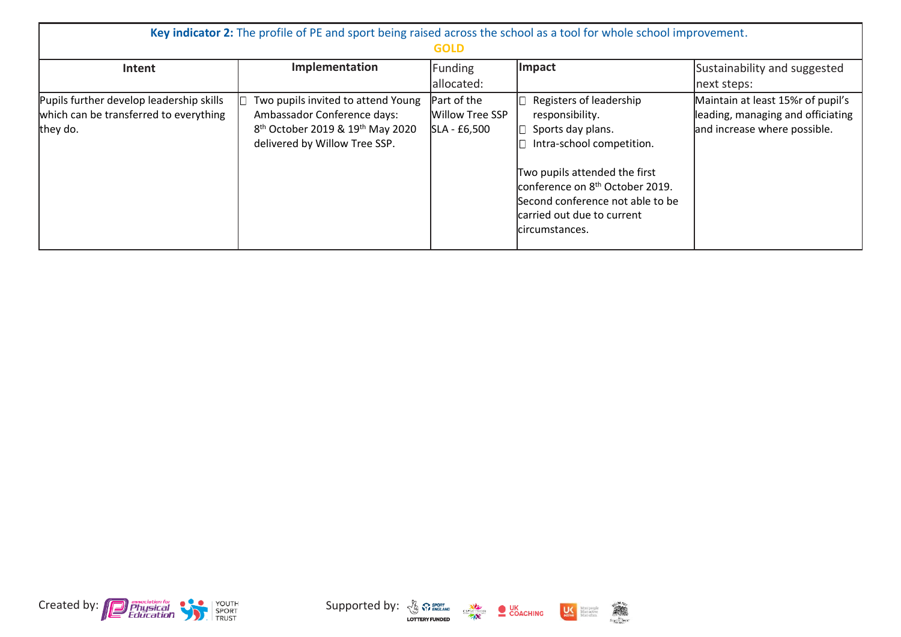| Key indicator 2: The profile of PE and sport being raised across the school as a tool for whole school improvement.<br><b>GOLD</b> |                                                                                                                                                                |                                                |                                                                                                                                                                                                                                                                   |                                                                                                         |  |
|------------------------------------------------------------------------------------------------------------------------------------|----------------------------------------------------------------------------------------------------------------------------------------------------------------|------------------------------------------------|-------------------------------------------------------------------------------------------------------------------------------------------------------------------------------------------------------------------------------------------------------------------|---------------------------------------------------------------------------------------------------------|--|
| Intent                                                                                                                             | Implementation                                                                                                                                                 | Funding<br>allocated:                          | Impact                                                                                                                                                                                                                                                            | Sustainability and suggested<br>next steps:                                                             |  |
| Pupils further develop leadership skills<br>which can be transferred to everything<br>they do.                                     | Two pupils invited to attend Young<br>Ambassador Conference days:<br>8 <sup>th</sup> October 2019 & 19 <sup>th</sup> May 2020<br>delivered by Willow Tree SSP. | Part of the<br>Willow Tree SSP<br>SLA - £6,500 | Registers of leadership<br>responsibility.<br>Sports day plans.<br>Intra-school competition.<br>Two pupils attended the first<br>conference on 8 <sup>th</sup> October 2019.<br>Second conference not able to be<br>carried out due to current<br>lcircumstances. | Maintain at least 15% r of pupil's<br>leading, managing and officiating<br>and increase where possible. |  |



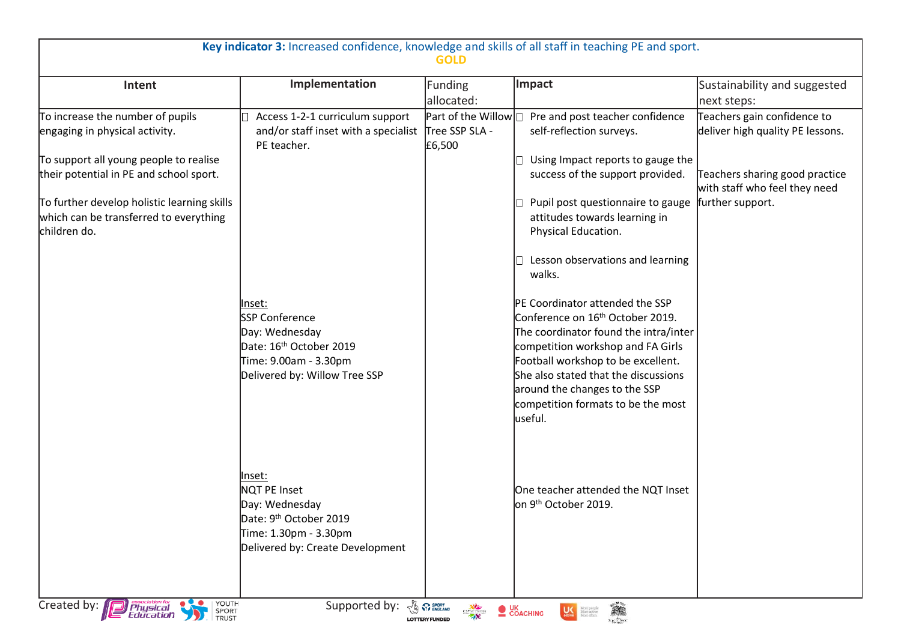| Key indicator 3: Increased confidence, knowledge and skills of all staff in teaching PE and sport.<br>GOLD |                                                                                                                                                    |                                                        |                                                                                                                                                                                                                                                                                                                               |                                                                 |  |
|------------------------------------------------------------------------------------------------------------|----------------------------------------------------------------------------------------------------------------------------------------------------|--------------------------------------------------------|-------------------------------------------------------------------------------------------------------------------------------------------------------------------------------------------------------------------------------------------------------------------------------------------------------------------------------|-----------------------------------------------------------------|--|
| Intent                                                                                                     | Implementation                                                                                                                                     | Funding                                                | Impact                                                                                                                                                                                                                                                                                                                        | Sustainability and suggested                                    |  |
|                                                                                                            |                                                                                                                                                    | allocated:                                             |                                                                                                                                                                                                                                                                                                                               | next steps:                                                     |  |
| To increase the number of pupils<br>engaging in physical activity.                                         | Access 1-2-1 curriculum support<br>and/or staff inset with a specialist<br>PE teacher.                                                             | Part of the Willow $\Box$<br>Tree SSP SLA -<br>£6,500  | Pre and post teacher confidence<br>self-reflection surveys.                                                                                                                                                                                                                                                                   | Teachers gain confidence to<br>deliver high quality PE lessons. |  |
| To support all young people to realise<br>their potential in PE and school sport.                          |                                                                                                                                                    |                                                        | Using Impact reports to gauge the<br>success of the support provided.                                                                                                                                                                                                                                                         | Teachers sharing good practice<br>with staff who feel they need |  |
| To further develop holistic learning skills<br>which can be transferred to everything<br>children do.      |                                                                                                                                                    |                                                        | Pupil post questionnaire to gauge<br>attitudes towards learning in<br>Physical Education.<br>Lesson observations and learning<br>walks.                                                                                                                                                                                       | further support.                                                |  |
|                                                                                                            | lnset:<br><b>SSP Conference</b><br>Day: Wednesday<br>Date: 16 <sup>th</sup> October 2019<br>Time: 9.00am - 3.30pm<br>Delivered by: Willow Tree SSP |                                                        | PE Coordinator attended the SSP<br>Conference on 16 <sup>th</sup> October 2019.<br>The coordinator found the intra/inter<br>competition workshop and FA Girls<br>Football workshop to be excellent.<br>She also stated that the discussions<br>around the changes to the SSP<br>competition formats to be the most<br>useful. |                                                                 |  |
|                                                                                                            | Inset:<br>NQT PE Inset<br>Day: Wednesday<br>Date: 9 <sup>th</sup> October 2019<br>Time: 1.30pm - 3.30pm<br>Delivered by: Create Development        |                                                        | One teacher attended the NQT Inset<br>on 9 <sup>th</sup> October 2019.                                                                                                                                                                                                                                                        |                                                                 |  |
| YOUTH<br>SPORT<br>TRUST<br>Created by:<br><b>P</b> Physical                                                | Supported by:                                                                                                                                      | <b>BA</b> SPORT<br>CSPNETWORK<br><b>LOTTERY FUNDED</b> | COACHING<br><b>LAS</b> More people                                                                                                                                                                                                                                                                                            |                                                                 |  |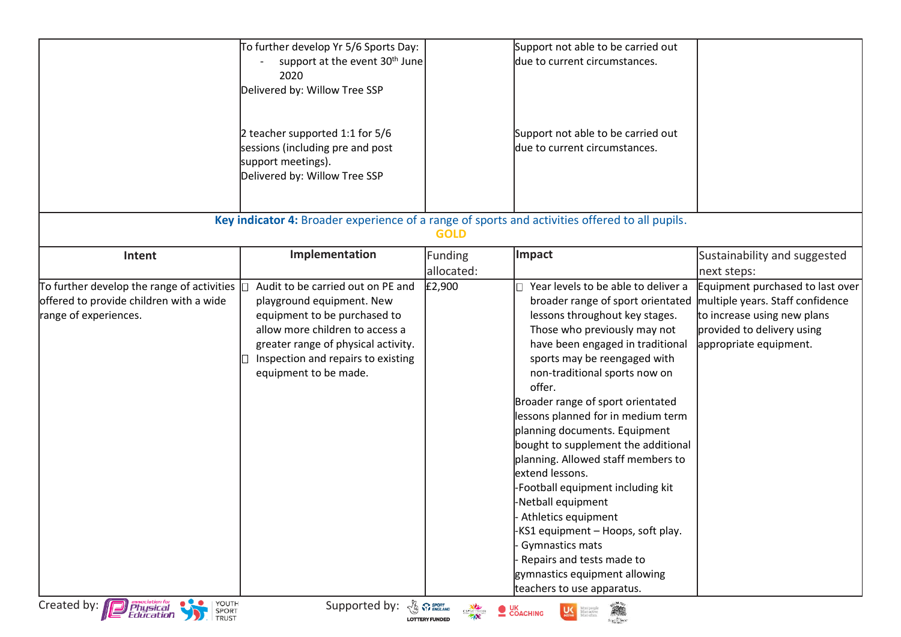|                                                                                                                                                                       | To further develop Yr 5/6 Sports Day:<br>support at the event 30 <sup>th</sup> June<br>2020<br>Delivered by: Willow Tree SSP<br>2 teacher supported 1:1 for 5/6<br>sessions (including pre and post<br>support meetings).<br>Delivered by: Willow Tree SSP            |                       | Support not able to be carried out<br>due to current circumstances.<br>Support not able to be carried out<br>due to current circumstances.                                                                                                                                                                                                                                                                                                                                                                                                                                                                                                                                                                   |                                                                                                                                                             |
|-----------------------------------------------------------------------------------------------------------------------------------------------------------------------|-----------------------------------------------------------------------------------------------------------------------------------------------------------------------------------------------------------------------------------------------------------------------|-----------------------|--------------------------------------------------------------------------------------------------------------------------------------------------------------------------------------------------------------------------------------------------------------------------------------------------------------------------------------------------------------------------------------------------------------------------------------------------------------------------------------------------------------------------------------------------------------------------------------------------------------------------------------------------------------------------------------------------------------|-------------------------------------------------------------------------------------------------------------------------------------------------------------|
|                                                                                                                                                                       | Key indicator 4: Broader experience of a range of sports and activities offered to all pupils.                                                                                                                                                                        | <b>GOLD</b>           |                                                                                                                                                                                                                                                                                                                                                                                                                                                                                                                                                                                                                                                                                                              |                                                                                                                                                             |
| Intent                                                                                                                                                                | Implementation                                                                                                                                                                                                                                                        | Funding<br>allocated: | Impact                                                                                                                                                                                                                                                                                                                                                                                                                                                                                                                                                                                                                                                                                                       | Sustainability and suggested<br>next steps:                                                                                                                 |
| To further develop the range of activities $ $<br>offered to provide children with a wide<br>range of experiences.<br>YOUTH<br>SPORT<br>Created by: <b>Department</b> | Audit to be carried out on PE and<br>playground equipment. New<br>equipment to be purchased to<br>allow more children to access a<br>greater range of physical activity.<br>Inspection and repairs to existing<br>equipment to be made.<br>Supported by: & Premerance | £2,900                | Year levels to be able to deliver a<br>broader range of sport orientated<br>lessons throughout key stages.<br>Those who previously may not<br>have been engaged in traditional<br>sports may be reengaged with<br>non-traditional sports now on<br>offer.<br>Broader range of sport orientated<br>lessons planned for in medium term<br>planning documents. Equipment<br>bought to supplement the additional<br>planning. Allowed staff members to<br>extend lessons.<br>-Football equipment including kit<br>-Netball equipment<br>Athletics equipment<br>-KS1 equipment - Hoops, soft play.<br>Gymnastics mats<br>Repairs and tests made to<br>gymnastics equipment allowing<br>teachers to use apparatus. | Equipment purchased to last over<br>multiple years. Staff confidence<br>to increase using new plans<br>provided to delivery using<br>appropriate equipment. |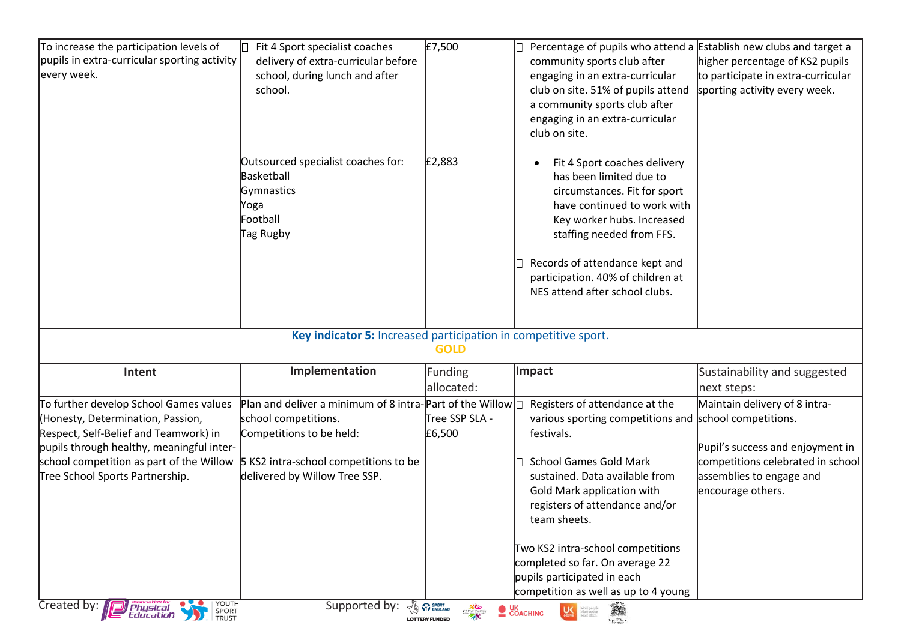| To increase the participation levels of<br>pupils in extra-curricular sporting activity<br>every week.                                                                                                                                                                                                   | Fit 4 Sport specialist coaches<br>delivery of extra-curricular before<br>school, during lunch and after<br>school.                                                                                      | £7,500                                                    | Percentage of pupils who attend a Establish new clubs and target a<br>community sports club after<br>engaging in an extra-curricular<br>club on site. 51% of pupils attend<br>a community sports club after<br>engaging in an extra-curricular<br>club on site.                                                                                                                                          | higher percentage of KS2 pupils<br>to participate in extra-curricular<br>sporting activity every week.                                                  |
|----------------------------------------------------------------------------------------------------------------------------------------------------------------------------------------------------------------------------------------------------------------------------------------------------------|---------------------------------------------------------------------------------------------------------------------------------------------------------------------------------------------------------|-----------------------------------------------------------|----------------------------------------------------------------------------------------------------------------------------------------------------------------------------------------------------------------------------------------------------------------------------------------------------------------------------------------------------------------------------------------------------------|---------------------------------------------------------------------------------------------------------------------------------------------------------|
|                                                                                                                                                                                                                                                                                                          | Outsourced specialist coaches for:<br>Basketball<br>Gymnastics<br>Yoga<br>Football<br>Tag Rugby                                                                                                         | £2,883                                                    | Fit 4 Sport coaches delivery<br>$\bullet$<br>has been limited due to<br>circumstances. Fit for sport<br>have continued to work with<br>Key worker hubs. Increased<br>staffing needed from FFS.<br>Records of attendance kept and<br>participation. 40% of children at<br>NES attend after school clubs.                                                                                                  |                                                                                                                                                         |
|                                                                                                                                                                                                                                                                                                          | Key indicator 5: Increased participation in competitive sport.                                                                                                                                          | <b>GOLD</b>                                               |                                                                                                                                                                                                                                                                                                                                                                                                          |                                                                                                                                                         |
| Intent                                                                                                                                                                                                                                                                                                   | Implementation                                                                                                                                                                                          | <b>Funding</b><br>allocated:                              | Impact                                                                                                                                                                                                                                                                                                                                                                                                   | Sustainability and suggested<br>next steps:                                                                                                             |
| To further develop School Games values<br>(Honesty, Determination, Passion,<br>Respect, Self-Belief and Teamwork) in<br>pupils through healthy, meaningful inter-<br>school competition as part of the Willow<br>Tree School Sports Partnership.<br>YOUTH<br>Created by:<br><b>Physical</b><br>Education | Plan and deliver a minimum of 8 intra-Part of the Willow<br>school competitions.<br>Competitions to be held:<br>5 KS2 intra-school competitions to be<br>delivered by Willow Tree SSP.<br>Supported by: | Tree SSP SLA -<br>£6,500<br><b>BA</b> SPORT<br>CSPNETWORK | Registers of attendance at the<br>various sporting competitions and school competitions.<br>festivals.<br><b>School Games Gold Mark</b><br>sustained. Data available from<br>Gold Mark application with<br>registers of attendance and/or<br>team sheets.<br>Two KS2 intra-school competitions<br>completed so far. On average 22<br>pupils participated in each<br>competition as well as up to 4 young | Maintain delivery of 8 intra-<br>Pupil's success and enjoyment in<br>competitions celebrated in school<br>assemblies to engage and<br>encourage others. |